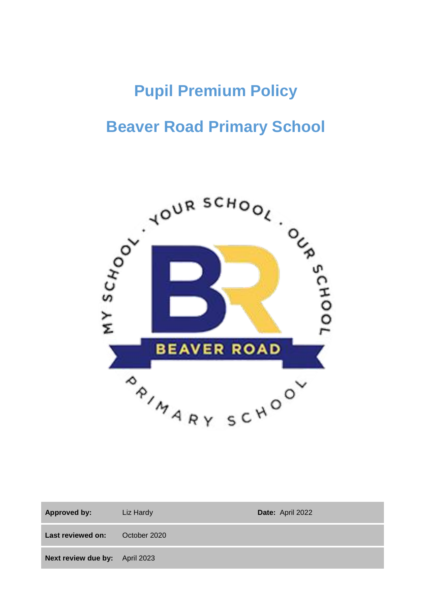# **Pupil Premium Policy**

## **Beaver Road Primary School**



| <b>Approved by:</b>            | Liz Hardy    | Date: April 2022 |
|--------------------------------|--------------|------------------|
| <b>Last reviewed on:</b>       | October 2020 |                  |
| Next review due by: April 2023 |              |                  |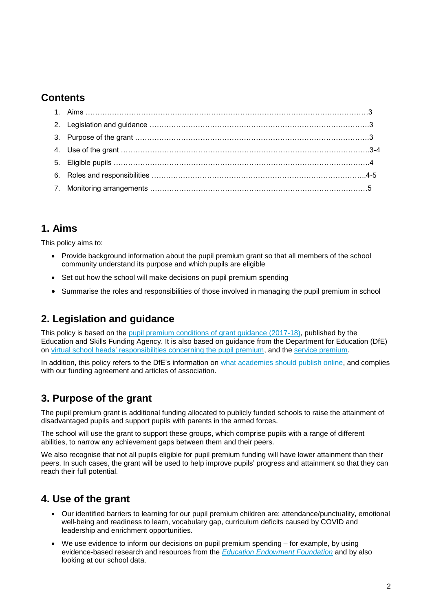### **Contents**

### **1. Aims**

This policy aims to:

- Provide background information about the pupil premium grant so that all members of the school community understand its purpose and which pupils are eligible
- Set out how the school will make decisions on pupil premium spending
- Summarise the roles and responsibilities of those involved in managing the pupil premium in school

## **2. Legislation and guidance**

This policy is based on the [pupil premium conditions of grant guidance \(2017-18\),](https://www.gov.uk/government/publications/pupil-premium-conditions-of-grant-2017-to-2018/pupil-premium-conditions-of-grant-2017-to-2018) published by the Education and Skills Funding Agency. It is also based on guidance from the Department for Education (DfE) on [virtual school heads' responsibilities concerning the pupil premium,](https://www.gov.uk/guidance/pupil-premium-virtual-school-heads-responsibilities) and the [service premium.](https://www.gov.uk/guidance/service-premium-information-for-schools)

In addition, this policy refers to the DfE's information on [what academies should publish online,](https://www.gov.uk/guidance/what-academies-free-schools-and-colleges-should-publish-online#pupil-premium) and complies with our funding agreement and articles of association.

## **3. Purpose of the grant**

The pupil premium grant is additional funding allocated to publicly funded schools to raise the attainment of disadvantaged pupils and support pupils with parents in the armed forces.

The school will use the grant to support these groups, which comprise pupils with a range of different abilities, to narrow any achievement gaps between them and their peers.

We also recognise that not all pupils eligible for pupil premium funding will have lower attainment than their peers. In such cases, the grant will be used to help improve pupils' progress and attainment so that they can reach their full potential.

## **4. Use of the grant**

- Our identified barriers to learning for our pupil premium children are: attendance/punctuality, emotional well-being and readiness to learn, vocabulary gap, curriculum deficits caused by COVID and leadership and enrichment opportunities.
- We use evidence to inform our decisions on pupil premium spending for example, by using evidence-based research and resources from the *[Education Endowment Foundation](https://educationendowmentfoundation.org.uk/)* and by also looking at our school data.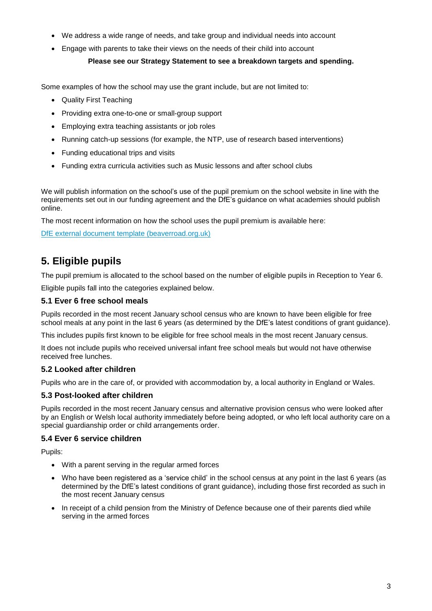- We address a wide range of needs, and take group and individual needs into account
- Engage with parents to take their views on the needs of their child into account

#### **Please see our Strategy Statement to see a breakdown targets and spending.**

Some examples of how the school may use the grant include, but are not limited to:

- Quality First Teaching
- Providing extra one-to-one or small-group support
- Employing extra teaching assistants or job roles
- Running catch-up sessions (for example, the NTP, use of research based interventions)
- Funding educational trips and visits
- Funding extra curricula activities such as Music lessons and after school clubs

We will publish information on the school's use of the pupil premium on the school website in line with the requirements set out in our funding agreement and the DfE's guidance on what academies should publish online.

The most recent information on how the school uses the pupil premium is available here:

[DfE external document template \(beaverroad.org.uk\)](https://www.beaverroad.org.uk/serve_file/3455098)

## **5. Eligible pupils**

The pupil premium is allocated to the school based on the number of eligible pupils in Reception to Year 6.

Eligible pupils fall into the categories explained below.

#### **5.1 Ever 6 free school meals**

Pupils recorded in the most recent January school census who are known to have been eligible for free school meals at any point in the last 6 years (as determined by the DfE's latest conditions of grant guidance).

This includes pupils first known to be eligible for free school meals in the most recent January census.

It does not include pupils who received universal infant free school meals but would not have otherwise received free lunches.

#### **5.2 Looked after children**

Pupils who are in the care of, or provided with accommodation by, a local authority in England or Wales.

#### **5.3 Post-looked after children**

Pupils recorded in the most recent January census and alternative provision census who were looked after by an English or Welsh local authority immediately before being adopted, or who left local authority care on a special guardianship order or child arrangements order.

#### **5.4 Ever 6 service children**

Pupils:

- With a parent serving in the regular armed forces
- Who have been registered as a 'service child' in the school census at any point in the last 6 years (as determined by the DfE's latest conditions of grant guidance), including those first recorded as such in the most recent January census
- In receipt of a child pension from the Ministry of Defence because one of their parents died while serving in the armed forces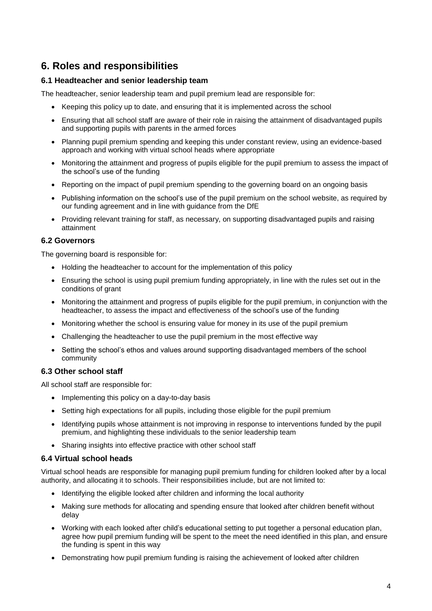## **6. Roles and responsibilities**

#### **6.1 Headteacher and senior leadership team**

The headteacher, senior leadership team and pupil premium lead are responsible for:

- Keeping this policy up to date, and ensuring that it is implemented across the school
- Ensuring that all school staff are aware of their role in raising the attainment of disadvantaged pupils and supporting pupils with parents in the armed forces
- Planning pupil premium spending and keeping this under constant review, using an evidence-based approach and working with virtual school heads where appropriate
- Monitoring the attainment and progress of pupils eligible for the pupil premium to assess the impact of the school's use of the funding
- Reporting on the impact of pupil premium spending to the governing board on an ongoing basis
- Publishing information on the school's use of the pupil premium on the school website, as required by our funding agreement and in line with guidance from the DfE
- Providing relevant training for staff, as necessary, on supporting disadvantaged pupils and raising attainment

#### **6.2 Governors**

The governing board is responsible for:

- Holding the headteacher to account for the implementation of this policy
- Ensuring the school is using pupil premium funding appropriately, in line with the rules set out in the conditions of grant
- Monitoring the attainment and progress of pupils eligible for the pupil premium, in conjunction with the headteacher, to assess the impact and effectiveness of the school's use of the funding
- Monitoring whether the school is ensuring value for money in its use of the pupil premium
- Challenging the headteacher to use the pupil premium in the most effective way
- Setting the school's ethos and values around supporting disadvantaged members of the school community

#### **6.3 Other school staff**

All school staff are responsible for:

- Implementing this policy on a day-to-day basis
- Setting high expectations for all pupils, including those eligible for the pupil premium
- Identifying pupils whose attainment is not improving in response to interventions funded by the pupil premium, and highlighting these individuals to the senior leadership team
- Sharing insights into effective practice with other school staff

#### **6.4 Virtual school heads**

Virtual school heads are responsible for managing pupil premium funding for children looked after by a local authority, and allocating it to schools. Their responsibilities include, but are not limited to:

- Identifying the eligible looked after children and informing the local authority
- Making sure methods for allocating and spending ensure that looked after children benefit without delay
- Working with each looked after child's educational setting to put together a personal education plan, agree how pupil premium funding will be spent to the meet the need identified in this plan, and ensure the funding is spent in this way
- Demonstrating how pupil premium funding is raising the achievement of looked after children